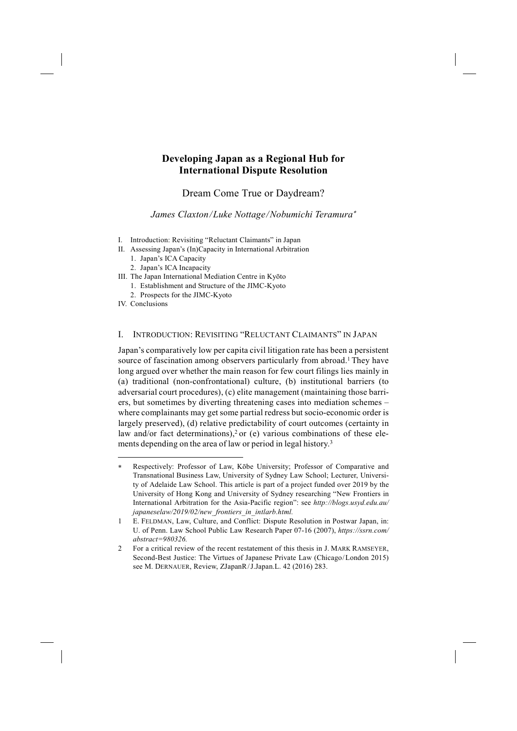# **Developing Japan as a Regional Hub for International Dispute Resolution**

Dream Come True or Daydream?

*James Claxton / Luke Nottage / Nobumichi Teramura*<sup>∗</sup>

- I. Introduction: Revisiting "Reluctant Claimants" in Japan
- II. Assessing Japan's (In)Capacity in International Arbitration
	- 1. Japan's ICA Capacity
		- 2. Japan's ICA Incapacity
- III. The Japan International Mediation Centre in Kyōto
	- 1. Establishment and Structure of the JIMC-Kyoto
	- 2. Prospects for the JIMC-Kyoto
- IV. Conclusions

-

## I. INTRODUCTION: REVISITING "RELUCTANT CLAIMANTS" IN JAPAN

Japan's comparatively low per capita civil litigation rate has been a persistent source of fascination among observers particularly from abroad.<sup>1</sup> They have long argued over whether the main reason for few court filings lies mainly in (a) traditional (non-confrontational) culture, (b) institutional barriers (to adversarial court procedures), (c) elite management (maintaining those barriers, but sometimes by diverting threatening cases into mediation schemes – where complainants may get some partial redress but socio-economic order is largely preserved), (d) relative predictability of court outcomes (certainty in law and/or fact determinations),<sup>2</sup> or (e) various combinations of these elements depending on the area of law or period in legal history.<sup>3</sup>

Respectively: Professor of Law, Kōbe University; Professor of Comparative and Transnational Business Law, University of Sydney Law School; Lecturer, University of Adelaide Law School. This article is part of a project funded over 2019 by the University of Hong Kong and University of Sydney researching "New Frontiers in International Arbitration for the Asia-Pacific region": see *http://blogs.usyd.edu.au/ japaneselaw/2019/02/new\_frontiers\_in\_intlarb.html.*

<sup>1</sup> E. FELDMAN, Law, Culture, and Conflict: Dispute Resolution in Postwar Japan, in: U. of Penn. Law School Public Law Research Paper 07-16 (2007), *https://ssrn.com/ abstract=980326.* 

<sup>2</sup> For a critical review of the recent restatement of this thesis in J. MARK RAMSEYER, Second-Best Justice: The Virtues of Japanese Private Law (Chicago/ London 2015) see M. DERNAUER, Review, ZJapanR/J.Japan.L. 42 (2016) 283.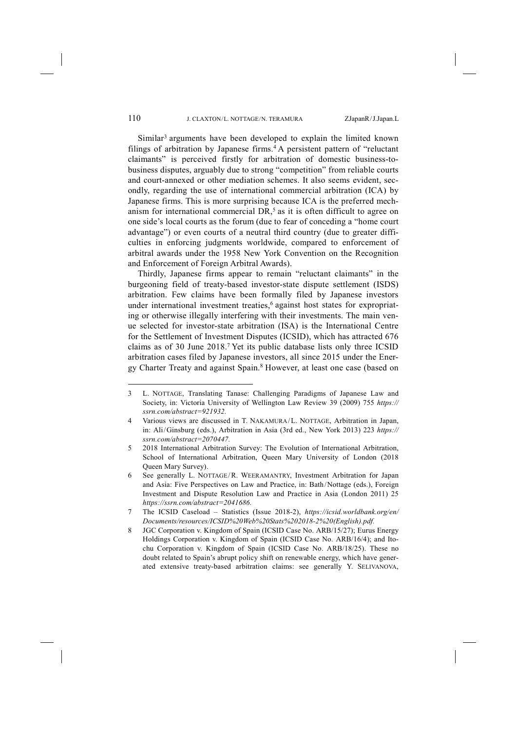Similar<sup>3</sup> arguments have been developed to explain the limited known filings of arbitration by Japanese firms.<sup>4</sup> A persistent pattern of "reluctant" claimants" is perceived firstly for arbitration of domestic business-tobusiness disputes, arguably due to strong "competition" from reliable courts and court-annexed or other mediation schemes. It also seems evident, secondly, regarding the use of international commercial arbitration (ICA) by Japanese firms. This is more surprising because ICA is the preferred mechanism for international commercial  $DR<sub>1</sub>$ <sup>5</sup> as it is often difficult to agree on one side's local courts as the forum (due to fear of conceding a "home court advantage") or even courts of a neutral third country (due to greater difficulties in enforcing judgments worldwide, compared to enforcement of arbitral awards under the 1958 New York Convention on the Recognition and Enforcement of Foreign Arbitral Awards).

Thirdly, Japanese firms appear to remain "reluctant claimants" in the burgeoning field of treaty-based investor-state dispute settlement (ISDS) arbitration. Few claims have been formally filed by Japanese investors under international investment treaties,<sup>6</sup> against host states for expropriating or otherwise illegally interfering with their investments. The main venue selected for investor-state arbitration (ISA) is the International Centre for the Settlement of Investment Disputes (ICSID), which has attracted 676 claims as of 30 June 2018.7 Yet its public database lists only three ICSID arbitration cases filed by Japanese investors, all since 2015 under the Energy Charter Treaty and against Spain.8 However, at least one case (based on

<sup>3</sup> L. NOTTAGE, Translating Tanase: Challenging Paradigms of Japanese Law and Society, in: Victoria University of Wellington Law Review 39 (2009) 755 *https:// ssrn.com/abstract=921932.*

<sup>4</sup> Various views are discussed in T. NAKAMURA/ L. NOTTAGE, Arbitration in Japan, in: Ali/ Ginsburg (eds.), Arbitration in Asia (3rd ed., New York 2013) 223 *https:// ssrn.com/abstract=2070447.*

<sup>5 2018</sup> International Arbitration Survey: The Evolution of International Arbitration, School of International Arbitration, Queen Mary University of London (2018 Queen Mary Survey).

<sup>6</sup> See generally L. NOTTAGE/ R. WEERAMANTRY, Investment Arbitration for Japan and Asia: Five Perspectives on Law and Practice, in: Bath/Nottage (eds.), Foreign Investment and Dispute Resolution Law and Practice in Asia (London 2011) 25 *https://ssrn.com/abstract=2041686.*

<sup>7</sup> The ICSID Caseload – Statistics (Issue 2018-2), *https://icsid.worldbank.org/en/ Documents/resources/ICSID%20Web%20Stats%202018-2%20(English).pdf.*

<sup>8</sup> JGC Corporation v. Kingdom of Spain (ICSID Case No. ARB/15/27); Eurus Energy Holdings Corporation v. Kingdom of Spain (ICSID Case No. ARB/16/4); and Itochu Corporation v. Kingdom of Spain (ICSID Case No. ARB/18/25). These no doubt related to Spain's abrupt policy shift on renewable energy, which have generated extensive treaty-based arbitration claims: see generally Y. SELIVANOVA,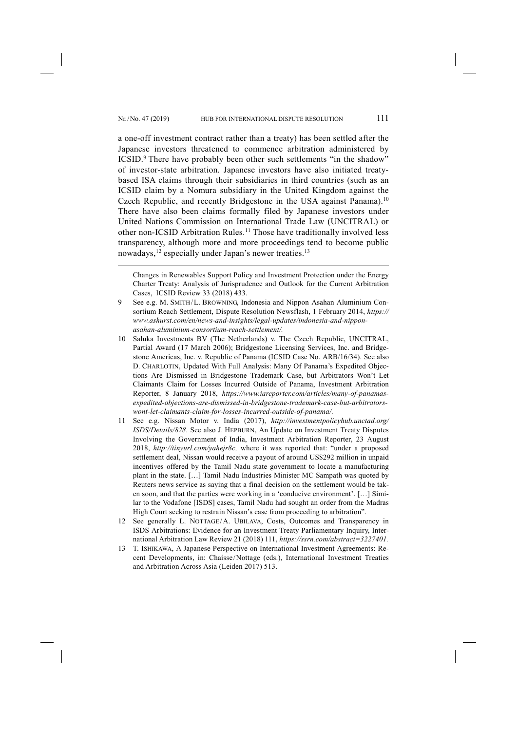a one-off investment contract rather than a treaty) has been settled after the Japanese investors threatened to commence arbitration administered by ICSID.9 There have probably been other such settlements "in the shadow" of investor-state arbitration. Japanese investors have also initiated treatybased ISA claims through their subsidiaries in third countries (such as an ICSID claim by a Nomura subsidiary in the United Kingdom against the Czech Republic, and recently Bridgestone in the USA against Panama).10 There have also been claims formally filed by Japanese investors under United Nations Commission on International Trade Law (UNCITRAL) or other non-ICSID Arbitration Rules.11 Those have traditionally involved less transparency, although more and more proceedings tend to become public nowadays,<sup>12</sup> especially under Japan's newer treaties.<sup>13</sup>

9 See e.g. M. SMITH/L. BROWNING, Indonesia and Nippon Asahan Aluminium Consortium Reach Settlement, Dispute Resolution Newsflash, 1 February 2014, *https:// www.ashurst.com/en/news-and-insights/legal-updates/indonesia-and-nipponasahan-aluminium-consortium-reach-settlement/.*

- 10 Saluka Investments BV (The Netherlands) v. The Czech Republic, UNCITRAL, Partial Award (17 March 2006); Bridgestone Licensing Services, Inc. and Bridgestone Americas, Inc. v. Republic of Panama (ICSID Case No. ARB/16/34). See also D. CHARLOTIN, Updated With Full Analysis: Many Of Panama's Expedited Objections Are Dismissed in Bridgestone Trademark Case, but Arbitrators Won't Let Claimants Claim for Losses Incurred Outside of Panama, Investment Arbitration Reporter, 8 January 2018, *https://www.iareporter.com/articles/many-of-panamasexpedited-objections-are-dismissed-in-bridgestone-trademark-case-but-arbitratorswont-let-claimants-claim-for-losses-incurred-outside-of-panama/.*
- 11 See e.g. Nissan Motor v. India (2017), *http://investmentpolicyhub.unctad.org/ ISDS/Details/828.* See also J. HEPBURN, An Update on Investment Treaty Disputes Involving the Government of India, Investment Arbitration Reporter, 23 August 2018, *http://tinyurl.com/yahejr8c,* where it was reported that: "under a proposed settlement deal, Nissan would receive a payout of around US\$292 million in unpaid incentives offered by the Tamil Nadu state government to locate a manufacturing plant in the state. […] Tamil Nadu Industries Minister MC Sampath was quoted by Reuters news service as saying that a final decision on the settlement would be taken soon, and that the parties were working in a 'conducive environment'. […] Similar to the Vodafone [ISDS] cases, Tamil Nadu had sought an order from the Madras High Court seeking to restrain Nissan's case from proceeding to arbitration".
- 12 See generally L. NOTTAGE/ A. UBILAVA, Costs, Outcomes and Transparency in ISDS Arbitrations: Evidence for an Investment Treaty Parliamentary Inquiry, International Arbitration Law Review 21 (2018) 111, *https://ssrn.com/abstract=3227401.*
- 13 T. ISHIKAWA, A Japanese Perspective on International Investment Agreements: Recent Developments, in: Chaisse/ Nottage (eds.), International Investment Treaties and Arbitration Across Asia (Leiden 2017) 513.

Changes in Renewables Support Policy and Investment Protection under the Energy Charter Treaty: Analysis of Jurisprudence and Outlook for the Current Arbitration Cases,  ICSID Review 33 (2018) 433.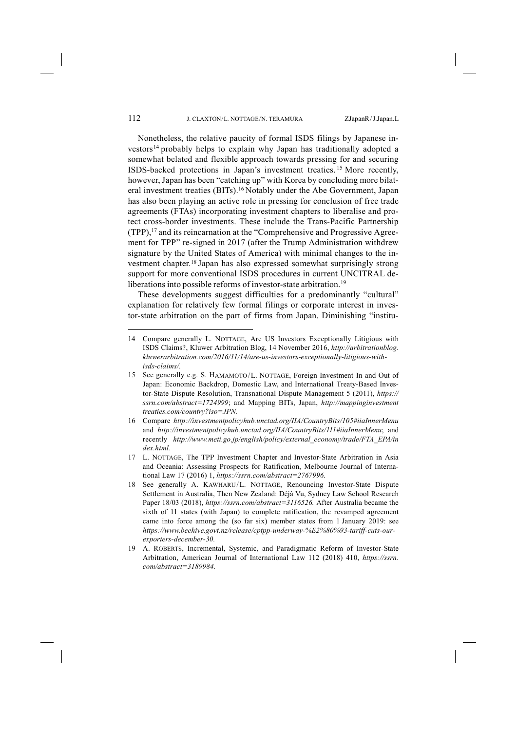Nonetheless, the relative paucity of formal ISDS filings by Japanese investors14 probably helps to explain why Japan has traditionally adopted a somewhat belated and flexible approach towards pressing for and securing ISDS-backed protections in Japan's investment treaties. <sup>15</sup> More recently, however, Japan has been "catching up" with Korea by concluding more bilateral investment treaties (BITs).16 Notably under the Abe Government, Japan has also been playing an active role in pressing for conclusion of free trade agreements (FTAs) incorporating investment chapters to liberalise and protect cross-border investments. These include the Trans-Pacific Partnership (TPP),17 and its reincarnation at the "Comprehensive and Progressive Agreement for TPP" re-signed in 2017 (after the Trump Administration withdrew signature by the United States of America) with minimal changes to the investment chapter.18 Japan has also expressed somewhat surprisingly strong support for more conventional ISDS procedures in current UNCITRAL deliberations into possible reforms of investor-state arbitration.<sup>19</sup>

These developments suggest difficulties for a predominantly "cultural" explanation for relatively few formal filings or corporate interest in investor-state arbitration on the part of firms from Japan. Diminishing "institu-

<sup>14</sup> Compare generally L. NOTTAGE, Are US Investors Exceptionally Litigious with ISDS Claims?, Kluwer Arbitration Blog, 14 November 2016, *http://arbitrationblog. kluwerarbitration.com/2016/11/14/are-us-investors-exceptionally-litigious-withisds-claims/.*

<sup>15</sup> See generally e.g. S. HAMAMOTO / L. NOTTAGE, Foreign Investment In and Out of Japan: Economic Backdrop, Domestic Law, and International Treaty-Based Investor-State Dispute Resolution, Transnational Dispute Management 5 (2011), *https:// ssrn.com/abstract=1724999*; and Mapping BITs, Japan, *http://mappinginvestment treaties.com/country?iso=JPN.*

<sup>16</sup> Compare *http://investmentpolicyhub.unctad.org/IIA/CountryBits/105#iiaInnerMenu* and *http://investmentpolicyhub.unctad.org/IIA/CountryBits/111#iiaInnerMenu*; and recently *http://www.meti.go.jp/english/policy/external\_economy/trade/FTA\_EPA/in dex.html.*

<sup>17</sup> L. NOTTAGE, The TPP Investment Chapter and Investor-State Arbitration in Asia and Oceania: Assessing Prospects for Ratification, Melbourne Journal of International Law 17 (2016) 1, *https://ssrn.com/abstract=2767996.*

<sup>18</sup> See generally A. KAWHARU/ L. NOTTAGE, Renouncing Investor-State Dispute Settlement in Australia, Then New Zealand: Déjà Vu, Sydney Law School Research Paper 18/03 (2018), *https://ssrn.com/abstract=3116526.* After Australia became the sixth of 11 states (with Japan) to complete ratification, the revamped agreement came into force among the (so far six) member states from 1 January 2019: see *https://www.beehive.govt.nz/release/cptpp-underway-%E2%80%93-tariff-cuts-ourexporters-december-30.*

<sup>19</sup> A. ROBERTS, Incremental, Systemic, and Paradigmatic Reform of Investor-State Arbitration, American Journal of International Law 112 (2018) 410, *https://ssrn. com/abstract=3189984.*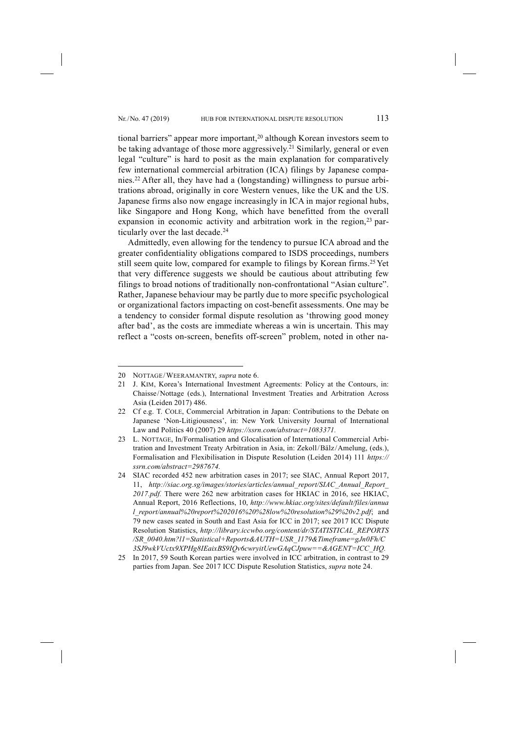tional barriers" appear more important,<sup>20</sup> although Korean investors seem to be taking advantage of those more aggressively.21 Similarly, general or even legal "culture" is hard to posit as the main explanation for comparatively few international commercial arbitration (ICA) filings by Japanese companies.22 After all, they have had a (longstanding) willingness to pursue arbitrations abroad, originally in core Western venues, like the UK and the US. Japanese firms also now engage increasingly in ICA in major regional hubs, like Singapore and Hong Kong, which have benefitted from the overall expansion in economic activity and arbitration work in the region,<sup>23</sup> particularly over the last decade.<sup>24</sup>

Admittedly, even allowing for the tendency to pursue ICA abroad and the greater confidentiality obligations compared to ISDS proceedings, numbers still seem quite low, compared for example to filings by Korean firms.<sup>25</sup> Yet that very difference suggests we should be cautious about attributing few filings to broad notions of traditionally non-confrontational "Asian culture". Rather, Japanese behaviour may be partly due to more specific psychological or organizational factors impacting on cost-benefit assessments. One may be a tendency to consider formal dispute resolution as 'throwing good money after bad', as the costs are immediate whereas a win is uncertain. This may reflect a "costs on-screen, benefits off-screen" problem, noted in other na-

<sup>20</sup> NOTTAGE/ WEERAMANTRY, *supra* note 6.

<sup>21</sup> J. KIM, Korea's International Investment Agreements: Policy at the Contours, in: Chaisse/ Nottage (eds.), International Investment Treaties and Arbitration Across Asia (Leiden 2017) 486.

<sup>22</sup> Cf e.g. T. COLE, Commercial Arbitration in Japan: Contributions to the Debate on Japanese 'Non-Litigiousness', in: New York University Journal of International Law and Politics 40 (2007) 29 *https://ssrn.com/abstract=1083371.*

<sup>23</sup> L. NOTTAGE, In/Formalisation and Glocalisation of International Commercial Arbitration and Investment Treaty Arbitration in Asia, in: Zekoll/ Bälz / Amelung, (eds.), Formalisation and Flexibilisation in Dispute Resolution (Leiden 2014) 111 *https:// ssrn.com/abstract=2987674.*

<sup>24</sup> SIAC recorded 452 new arbitration cases in 2017; see SIAC, Annual Report 2017, 11, *http://siac.org.sg/images/stories/articles/annual\_report/SIAC\_Annual\_Report\_ 2017.pdf.* There were 262 new arbitration cases for HKIAC in 2016, see HKIAC, Annual Report, 2016 Reflections, 10, *http://www.hkiac.org/sites/default/files/annua l\_report/annual%20report%202016%20%28low%20resolution%29%20v2.pdf*; and 79 new cases seated in South and East Asia for ICC in 2017; see 2017 ICC Dispute Resolution Statistics, *http://library.iccwbo.org/content/dr/STATISTICAL\_REPORTS /SR\_0040.htm?l1=Statistical+Reports&AUTH=USR\_1179&Timeframe=gJn0Fh/C 3SJ9wkVUctx9XPHg8IEaixBS9IQv6cwryitUewGAqCJpuw==&AGENT=ICC\_HQ.*

<sup>25</sup> In 2017, 59 South Korean parties were involved in ICC arbitration, in contrast to 29 parties from Japan. See 2017 ICC Dispute Resolution Statistics, *supra* note 24.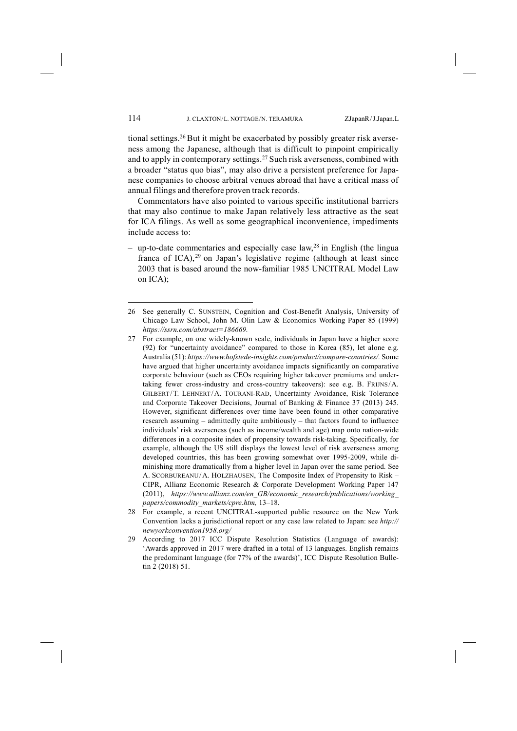tional settings.26 But it might be exacerbated by possibly greater risk averseness among the Japanese, although that is difficult to pinpoint empirically and to apply in contemporary settings.27 Such risk averseness, combined with a broader "status quo bias", may also drive a persistent preference for Japanese companies to choose arbitral venues abroad that have a critical mass of annual filings and therefore proven track records.

Commentators have also pointed to various specific institutional barriers that may also continue to make Japan relatively less attractive as the seat for ICA filings. As well as some geographical inconvenience, impediments include access to:

– up-to-date commentaries and especially case law,<sup>28</sup> in English (the lingua franca of ICA),  $29$  on Japan's legislative regime (although at least since 2003 that is based around the now-familiar 1985 UNCITRAL Model Law on ICA);

- 28 For example, a recent UNCITRAL-supported public resource on the New York Convention lacks a jurisdictional report or any case law related to Japan: see *http:// newyorkconvention1958.org/*
- 29 According to 2017 ICC Dispute Resolution Statistics (Language of awards): 'Awards approved in 2017 were drafted in a total of 13 languages. English remains the predominant language (for 77% of the awards)', ICC Dispute Resolution Bulletin 2 (2018) 51.

<sup>26</sup> See generally C. SUNSTEIN, Cognition and Cost-Benefit Analysis, University of Chicago Law School, John M. Olin Law & Economics Working Paper 85 (1999) *https://ssrn.com/abstract=186669.*

<sup>27</sup> For example, on one widely-known scale, individuals in Japan have a higher score (92) for "uncertainty avoidance" compared to those in Korea (85), let alone e.g. Australia (51): *https://www.hofstede-insights.com/product/compare-countries/.* Some have argued that higher uncertainty avoidance impacts significantly on comparative corporate behaviour (such as CEOs requiring higher takeover premiums and undertaking fewer cross-industry and cross-country takeovers): see e.g. B. FRIJNS/ A. GILBERT/T. LEHNERT/A. TOURANI-RAD, Uncertainty Avoidance, Risk Tolerance and Corporate Takeover Decisions, Journal of Banking & Finance 37 (2013) 245. However, significant differences over time have been found in other comparative research assuming – admittedly quite ambitiously – that factors found to influence individuals' risk averseness (such as income/wealth and age) map onto nation-wide differences in a composite index of propensity towards risk-taking. Specifically, for example, although the US still displays the lowest level of risk averseness among developed countries, this has been growing somewhat over 1995-2009, while diminishing more dramatically from a higher level in Japan over the same period. See A. SCORBUREANU/A. HOLZHAUSEN, The Composite Index of Propensity to Risk – CIPR, Allianz Economic Research & Corporate Development Working Paper 147 (2011), *https://www.allianz.com/en\_GB/economic\_research/publications/working\_ papers/commodity\_markets/cpre.htm,* 13–18.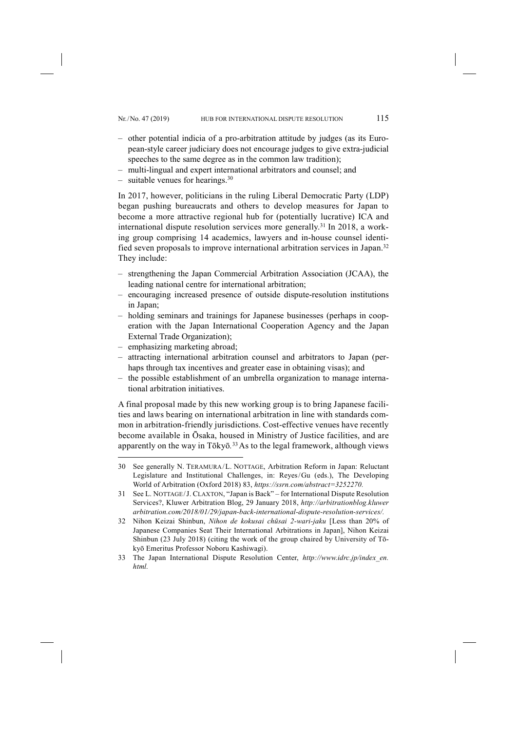- other potential indicia of a pro-arbitration attitude by judges (as its European-style career judiciary does not encourage judges to give extra-judicial speeches to the same degree as in the common law tradition);
- multi-lingual and expert international arbitrators and counsel; and
- $-$  suitable venues for hearings.<sup>30</sup>

In 2017, however, politicians in the ruling Liberal Democratic Party (LDP) began pushing bureaucrats and others to develop measures for Japan to become a more attractive regional hub for (potentially lucrative) ICA and international dispute resolution services more generally.31 In 2018, a working group comprising 14 academics, lawyers and in-house counsel identified seven proposals to improve international arbitration services in Japan.32 They include:

- strengthening the Japan Commercial Arbitration Association (JCAA), the leading national centre for international arbitration;
- encouraging increased presence of outside dispute-resolution institutions in Japan;
- holding seminars and trainings for Japanese businesses (perhaps in cooperation with the Japan International Cooperation Agency and the Japan External Trade Organization);
- emphasizing marketing abroad;

-

- attracting international arbitration counsel and arbitrators to Japan (perhaps through tax incentives and greater ease in obtaining visas); and
- the possible establishment of an umbrella organization to manage international arbitration initiatives.

A final proposal made by this new working group is to bring Japanese facilities and laws bearing on international arbitration in line with standards common in arbitration-friendly jurisdictions. Cost-effective venues have recently become available in Ōsaka, housed in Ministry of Justice facilities, and are apparently on the way in Tōkyō*.* 33As to the legal framework, although views

<sup>30</sup> See generally N. TERAMURA/ L. NOTTAGE, Arbitration Reform in Japan: Reluctant Legislature and Institutional Challenges, in: Reyes/ Gu (eds.), The Developing World of Arbitration (Oxford 2018) 83, *https://ssrn.com/abstract=3252270.*

<sup>31</sup> See L. NOTTAGE/ J. CLAXTON, "Japan is Back" – for International Dispute Resolution Services?, Kluwer Arbitration Blog, 29 January 2018, *http://arbitrationblog.kluwer arbitration.com/2018/01/29/japan-back-international-dispute-resolution-services/.*

<sup>32</sup> Nihon Keizai Shinbun, *Nihon de kokusai chūsai 2-wari-jaku* [Less than 20% of Japanese Companies Seat Their International Arbitrations in Japan], Nihon Keizai Shinbun (23 July 2018) (citing the work of the group chaired by University of Tōkyō Emeritus Professor Noboru Kashiwagi).

<sup>33</sup> The Japan International Dispute Resolution Center, *http://www.idrc.jp/index\_en. html.*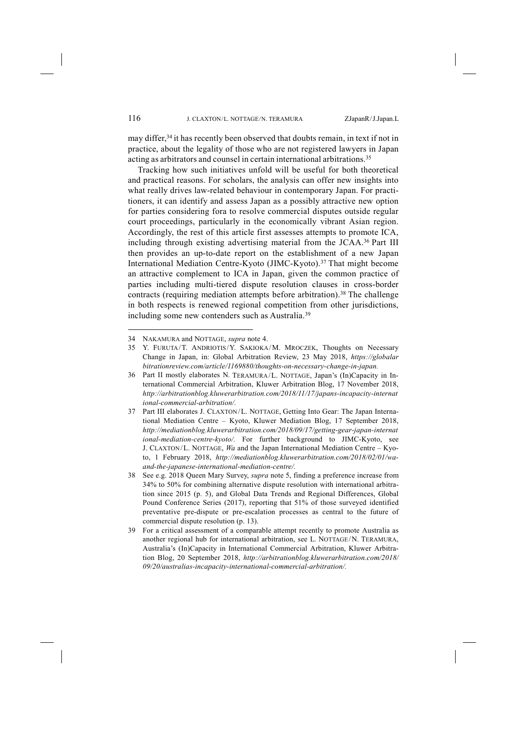may differ,34 it has recently been observed that doubts remain, in text if not in practice, about the legality of those who are not registered lawyers in Japan acting as arbitrators and counsel in certain international arbitrations.<sup>35</sup>

Tracking how such initiatives unfold will be useful for both theoretical and practical reasons. For scholars, the analysis can offer new insights into what really drives law-related behaviour in contemporary Japan. For practitioners, it can identify and assess Japan as a possibly attractive new option for parties considering fora to resolve commercial disputes outside regular court proceedings, particularly in the economically vibrant Asian region. Accordingly, the rest of this article first assesses attempts to promote ICA, including through existing advertising material from the JCAA.36 Part III then provides an up-to-date report on the establishment of a new Japan International Mediation Centre-Kyoto (JIMC-Kyoto).37 That might become an attractive complement to ICA in Japan, given the common practice of parties including multi-tiered dispute resolution clauses in cross-border contracts (requiring mediation attempts before arbitration).<sup>38</sup> The challenge in both respects is renewed regional competition from other jurisdictions, including some new contenders such as Australia.39

<sup>34</sup> NAKAMURA and NOTTAGE, *supra* note 4.

<sup>35</sup> Y. FURUTA/T. ANDRIOTIS/Y. SAKIOKA/M. MROCZEK, Thoughts on Necessary Change in Japan, in: Global Arbitration Review, 23 May 2018, *https://globalar bitrationreview.com/article/1169880/thoughts-on-necessary-change-in-japan.*

<sup>36</sup> Part II mostly elaborates N. TERAMURA/ L. NOTTAGE, Japan's (In)Capacity in International Commercial Arbitration, Kluwer Arbitration Blog, 17 November 2018, *http://arbitrationblog.kluwerarbitration.com/2018/11/17/japans-incapacity-internat ional-commercial-arbitration/.*

<sup>37</sup> Part III elaborates J. CLAXTON/ L. NOTTAGE, Getting Into Gear: The Japan International Mediation Centre – Kyoto, Kluwer Mediation Blog, 17 September 2018, *http://mediationblog.kluwerarbitration.com/2018/09/17/getting-gear-japan-internat ional-mediation-centre-kyoto/.* For further background to JIMC-Kyoto, see J. CLAXTON/ L. NOTTAGE, *Wa* and the Japan International Mediation Centre – Kyoto, 1 February 2018, *http://mediationblog.kluwerarbitration.com/2018/02/01/waand-the-japanese-international-mediation-centre/.*

<sup>38</sup> See e.g. 2018 Queen Mary Survey, *supra* note 5, finding a preference increase from 34% to 50% for combining alternative dispute resolution with international arbitration since 2015 (p. 5), and Global Data Trends and Regional Differences, Global Pound Conference Series (2017), reporting that 51% of those surveyed identified preventative pre-dispute or pre-escalation processes as central to the future of commercial dispute resolution (p. 13).

<sup>39</sup> For a critical assessment of a comparable attempt recently to promote Australia as another regional hub for international arbitration, see L. NOTTAGE/ N. TERAMURA, Australia's (In)Capacity in International Commercial Arbitration, Kluwer Arbitration Blog, 20 September 2018, *http://arbitrationblog.kluwerarbitration.com/2018/ 09/20/australias-incapacity-international-commercial-arbitration/.*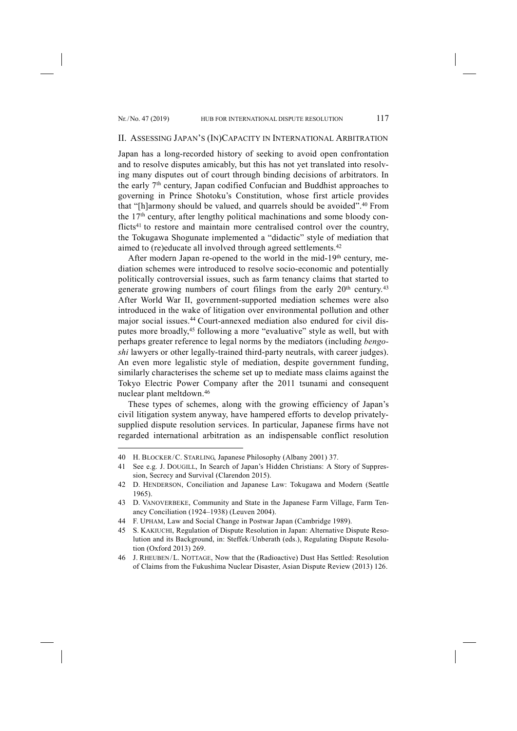-

#### II. ASSESSING JAPAN'S (IN)CAPACITY IN INTERNATIONAL ARBITRATION

Japan has a long-recorded history of seeking to avoid open confrontation and to resolve disputes amicably, but this has not yet translated into resolving many disputes out of court through binding decisions of arbitrators. In the early 7th century, Japan codified Confucian and Buddhist approaches to governing in Prince Shotoku's Constitution, whose first article provides that "[h]armony should be valued, and quarrels should be avoided".40 From the 17th century, after lengthy political machinations and some bloody conflicts<sup>41</sup> to restore and maintain more centralised control over the country, the Tokugawa Shogunate implemented a "didactic" style of mediation that aimed to (re)educate all involved through agreed settlements.<sup>42</sup>

After modern Japan re-opened to the world in the mid-19<sup>th</sup> century, mediation schemes were introduced to resolve socio-economic and potentially politically controversial issues, such as farm tenancy claims that started to generate growing numbers of court filings from the early  $20<sup>th</sup>$  century.<sup>43</sup> After World War II, government-supported mediation schemes were also introduced in the wake of litigation over environmental pollution and other major social issues.44 Court-annexed mediation also endured for civil disputes more broadly,45 following a more "evaluative" style as well, but with perhaps greater reference to legal norms by the mediators (including *bengoshi* lawyers or other legally-trained third-party neutrals, with career judges). An even more legalistic style of mediation, despite government funding, similarly characterises the scheme set up to mediate mass claims against the Tokyo Electric Power Company after the 2011 tsunami and consequent nuclear plant meltdown.46

These types of schemes, along with the growing efficiency of Japan's civil litigation system anyway, have hampered efforts to develop privatelysupplied dispute resolution services. In particular, Japanese firms have not regarded international arbitration as an indispensable conflict resolution

<sup>40</sup> H. BLOCKER/ C. STARLING, Japanese Philosophy (Albany 2001) 37.

<sup>41</sup> See e.g. J. DOUGILL, In Search of Japan's Hidden Christians: A Story of Suppression, Secrecy and Survival (Clarendon 2015).

<sup>42</sup> D. HENDERSON, Conciliation and Japanese Law: Tokugawa and Modern (Seattle 1965).

<sup>43</sup> D. VANOVERBEKE, Community and State in the Japanese Farm Village, Farm Tenancy Conciliation (1924–1938) (Leuven 2004).

<sup>44</sup> F. UPHAM, Law and Social Change in Postwar Japan (Cambridge 1989).

<sup>45</sup> S. KAKIUCHI, Regulation of Dispute Resolution in Japan: Alternative Dispute Resolution and its Background, in: Steffek/ Unberath (eds.), Regulating Dispute Resolution (Oxford 2013) 269.

<sup>46</sup> J. RHEUBEN/ L. NOTTAGE, Now that the (Radioactive) Dust Has Settled: Resolution of Claims from the Fukushima Nuclear Disaster, Asian Dispute Review (2013) 126.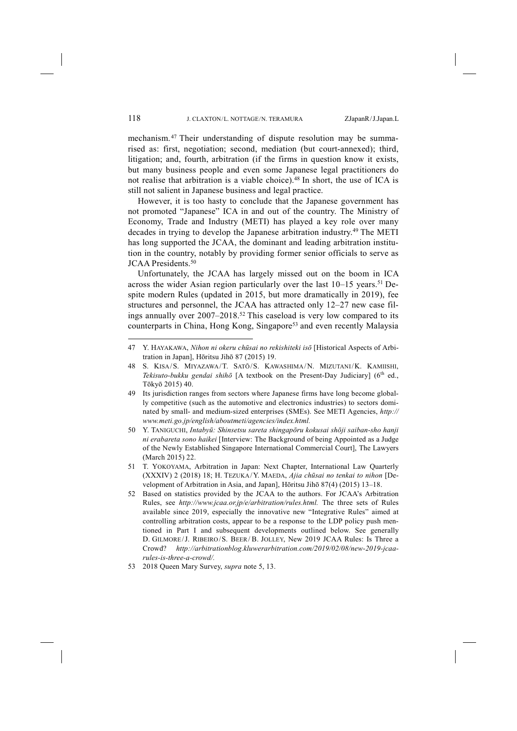mechanism. <sup>47</sup> Their understanding of dispute resolution may be summarised as: first, negotiation; second, mediation (but court-annexed); third, litigation; and, fourth, arbitration (if the firms in question know it exists, but many business people and even some Japanese legal practitioners do not realise that arbitration is a viable choice).48 In short, the use of ICA is still not salient in Japanese business and legal practice.

However, it is too hasty to conclude that the Japanese government has not promoted "Japanese" ICA in and out of the country. The Ministry of Economy, Trade and Industry (METI) has played a key role over many decades in trying to develop the Japanese arbitration industry.49 The METI has long supported the JCAA, the dominant and leading arbitration institution in the country, notably by providing former senior officials to serve as JCAA Presidents.<sup>50</sup>

Unfortunately, the JCAA has largely missed out on the boom in ICA across the wider Asian region particularly over the last  $10-15$  years.<sup>51</sup> Despite modern Rules (updated in 2015, but more dramatically in 2019), fee structures and personnel, the JCAA has attracted only 12–27 new case filings annually over 2007–2018. <sup>52</sup> This caseload is very low compared to its counterparts in China, Hong Kong, Singapore<sup>53</sup> and even recently Malaysia

<sup>47</sup> Y. HAYAKAWA, *Nihon ni okeru chūsai no rekishiteki isō* [Historical Aspects of Arbitration in Japan], Hōritsu Jihō 87 (2015) 19.

<sup>48</sup> S. KISA/ S. MIYAZAWA/ T. SATŌ/ S. KAWASHIMA/ N. MIZUTANI/ K. KAMIISHI, *Tekisuto-bukku gendai shihō* [A textbook on the Present-Day Judiciary] (6<sup>th</sup> ed., Tōkyō 2015) 40.

<sup>49</sup> Its jurisdiction ranges from sectors where Japanese firms have long become globally competitive (such as the automotive and electronics industries) to sectors dominated by small- and medium-sized enterprises (SMEs). See METI Agencies, *http:// www.meti.go.jp/english/aboutmeti/agencies/index.html.*

<sup>50</sup> Y. TANIGUCHI, *Intabyū: Shinsetsu sareta shingapōru kokusai shōji saiban-sho hanji ni erabareta sono haikei* [Interview: The Background of being Appointed as a Judge of the Newly Established Singapore International Commercial Court], The Lawyers (March 2015) 22.

<sup>51</sup> T. YOKOYAMA, Arbitration in Japan: Next Chapter, International Law Quarterly (XXXIV) 2 (2018) 18; H. TEZUKA/ Y. MAEDA, *Ajia chūsai no tenkai to nihon* [Development of Arbitration in Asia, and Japan], Hōritsu Jihō 87(4) (2015) 13–18.

<sup>52</sup> Based on statistics provided by the JCAA to the authors. For JCAA's Arbitration Rules, see *http://www.jcaa.or.jp/e/arbitration/rules.html.* The three sets of Rules available since 2019, especially the innovative new "Integrative Rules" aimed at controlling arbitration costs, appear to be a response to the LDP policy push mentioned in Part I and subsequent developments outlined below. See generally D. GILMORE/J. RIBEIRO/S. BEER/B. JOLLEY, New 2019 JCAA Rules: Is Three a Crowd? *http://arbitrationblog.kluwerarbitration.com/2019/02/08/new-2019-jcaarules-is-three-a-crowd/.*

<sup>53</sup> 2018 Queen Mary Survey, *supra* note 5, 13.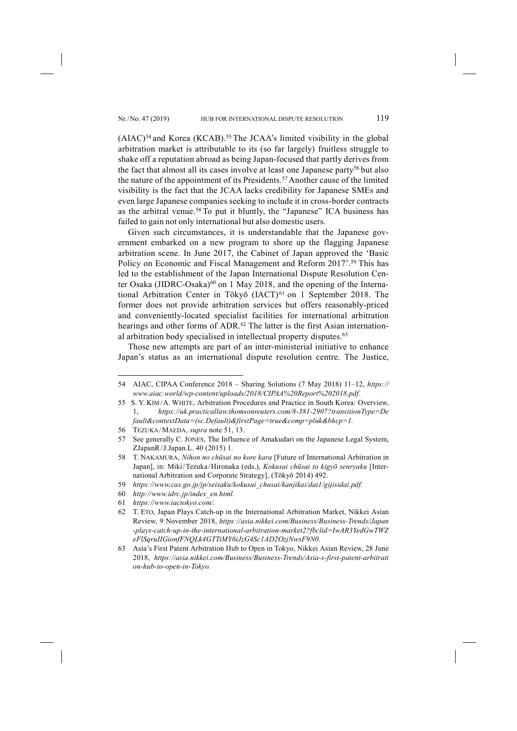$(AIAC)^{54}$  and Korea (KCAB).<sup>55</sup> The JCAA's limited visibility in the global arbitration market is attributable to its (so far largely) fruitless struggle to shake off a reputation abroad as being Japan-focused that partly derives from the fact that almost all its cases involve at least one Japanese party<sup>56</sup> but also the nature of the appointment of its Presidents.<sup>57</sup> Another cause of the limited visibility is the fact that the JCAA lacks credibility for Japanese SMEs and even large Japanese companies seeking to include it in cross-border contracts as the arbitral venue.<sup>58</sup> To put it bluntly, the "Japanese" ICA business has failed to gain not only international but also domestic users.

Given such circumstances, it is understandable that the Japanese government embarked on a new program to shore up the flagging Japanese arbitration scene. In June 2017, the Cabinet of Japan approved the 'Basic Policy on Economic and Fiscal Management and Reform 2017'.<sup>59</sup> This has led to the establishment of the Japan International Dispute Resolution Center Osaka (JIDRC-Osaka) $60$  on 1 May 2018, and the opening of the International Arbitration Center in Tōkyō (IACT)<sup>61</sup> on 1 September 2018. The former does not provide arbitration services but offers reasonably-priced and conveniently-located specialist facilities for international arbitration hearings and other forms of ADR.<sup>62</sup> The latter is the first Asian international arbitration body specialised in intellectual property disputes.<sup>63</sup>

Those new attempts are part of an inter-ministerial initiative to enhance Japan's status as an international dispute resolution centre. The Justice,

<sup>54</sup> AIAC, CIPAA Conference 2018 – Sharing Solutions (7 May 2018) 11–12, *https:// www.aiac.world/wp-content/uploads/2018/CIPAA%20Report%202018.pdf.*

<sup>55</sup> S. Y. KIM/A. WHITE, Arbitration Procedures and Practice in South Korea: Overview, 1, *https://uk.practicallaw.thomsonreuters.com/8-381-2907?transitionType=De fault&contextData=(sc.Default)&firstPage=true&comp=pluk&bhcp=1.*

<sup>56</sup> TEZUKA/ MAEDA, *supra* note 51, 13.

<sup>57</sup> See generally C. JONES, The Influence of Amakudari on the Japanese Legal System, ZJapanR/J.Japan.L. 40 (2015) 1.

<sup>58</sup> T. NAKAMURA, *Nihon no chūsai no kore kara* [Future of International Arbitration in Japan], in: Miki/ Tezuka/ Hironaka (eds.), *Kokusai chūsai to kigyō senryaku* [International Arbitration and Corporate Strategy], (Tōkyō 2014) 492.

<sup>59</sup> *https://www.cas.go.jp/jp/seisaku/kokusai\_chusai/kanjikai/dai1/gijisidai.pdf.*

<sup>60</sup> *http://www.idrc.jp/index\_en.html.*

<sup>61</sup> *https://www.iactokyo.com/.*

<sup>62</sup> T. ETO, Japan Plays Catch-up in the International Arbitration Market, Nikkei Asian Review, 9 November 2018, *https://asia.nikkei.com/Business/Business-Trends/Japan -plays-catch-up-in-the-international-arbitration-market2?fbclid=IwAR3YedGwTWZ eFlSqruIIGionfFNQLk4GTTiMY6iJzG4Sc1AD2OzjNwsF9N0.*

<sup>63</sup> Asia's First Patent Arbitration Hub to Open in Tokyo, Nikkei Asian Review, 28 June 2018, *https://asia.nikkei.com/Business/Business-Trends/Asia-s-first-patent-arbitrati on-hub-to-open-in-Tokyo.*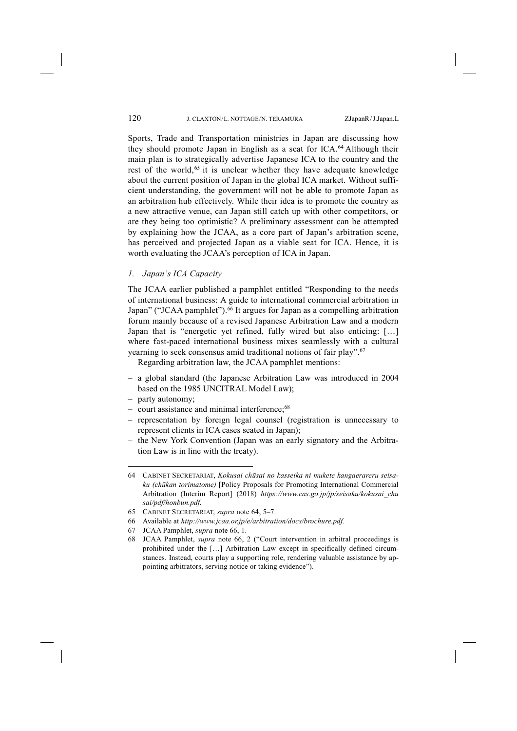Sports, Trade and Transportation ministries in Japan are discussing how they should promote Japan in English as a seat for ICA.64 Although their main plan is to strategically advertise Japanese ICA to the country and the rest of the world,<sup>65</sup> it is unclear whether they have adequate knowledge about the current position of Japan in the global ICA market. Without sufficient understanding, the government will not be able to promote Japan as an arbitration hub effectively. While their idea is to promote the country as a new attractive venue, can Japan still catch up with other competitors, or are they being too optimistic? A preliminary assessment can be attempted by explaining how the JCAA, as a core part of Japan's arbitration scene, has perceived and projected Japan as a viable seat for ICA. Hence, it is worth evaluating the JCAA's perception of ICA in Japan.

*1. Japan's ICA Capacity*

The JCAA earlier published a pamphlet entitled "Responding to the needs of international business: A guide to international commercial arbitration in Japan" ("JCAA pamphlet").<sup>66</sup> It argues for Japan as a compelling arbitration forum mainly because of a revised Japanese Arbitration Law and a modern Japan that is "energetic yet refined, fully wired but also enticing: […] where fast-paced international business mixes seamlessly with a cultural yearning to seek consensus amid traditional notions of fair play".67

Regarding arbitration law, the JCAA pamphlet mentions:

- a global standard (the Japanese Arbitration Law was introduced in 2004 based on the 1985 UNCITRAL Model Law);
- party autonomy;

- court assistance and minimal interference;68
- representation by foreign legal counsel (registration is unnecessary to represent clients in ICA cases seated in Japan);
- the New York Convention (Japan was an early signatory and the Arbitration Law is in line with the treaty).

<sup>64</sup> CABINET SECRETARIAT, *Kokusai chūsai no kasseika ni mukete kangaerareru seisaku (chūkan torimatome)* [Policy Proposals for Promoting International Commercial Arbitration (Interim Report] (2018) *https://www.cas.go.jp/jp/seisaku/kokusai\_chu sai/pdf/honbun.pdf.*

<sup>65</sup> CABINET SECRETARIAT, *supra* note 64, 5–7.

<sup>66</sup> Available at *http://www.jcaa.or.jp/e/arbitration/docs/brochure.pdf.*

<sup>67</sup> JCAA Pamphlet, *supra* note 66, 1.

<sup>68</sup> JCAA Pamphlet, *supra* note 66, 2 ("Court intervention in arbitral proceedings is prohibited under the […] Arbitration Law except in specifically defined circumstances. Instead, courts play a supporting role, rendering valuable assistance by appointing arbitrators, serving notice or taking evidence").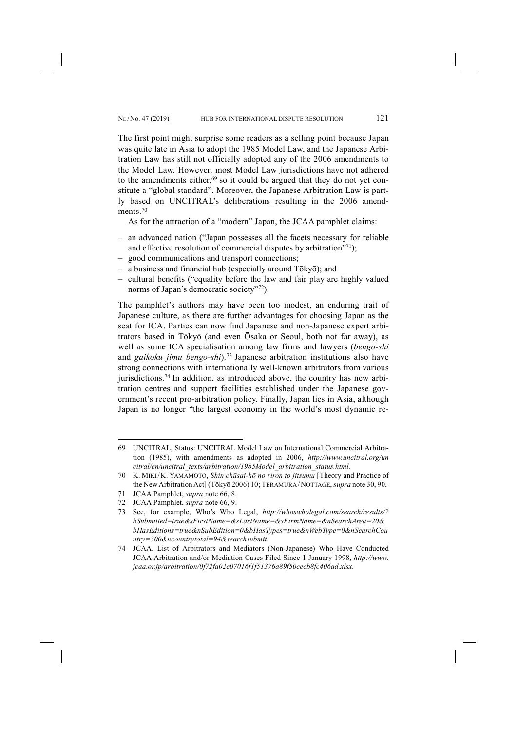The first point might surprise some readers as a selling point because Japan was quite late in Asia to adopt the 1985 Model Law, and the Japanese Arbitration Law has still not officially adopted any of the 2006 amendments to the Model Law. However, most Model Law jurisdictions have not adhered to the amendments either, $69$  so it could be argued that they do not yet constitute a "global standard". Moreover, the Japanese Arbitration Law is partly based on UNCITRAL's deliberations resulting in the 2006 amendments.<sup>70</sup>

As for the attraction of a "modern" Japan, the JCAA pamphlet claims:

- an advanced nation ("Japan possesses all the facets necessary for reliable and effective resolution of commercial disputes by arbitration $T(1)$ ;
- good communications and transport connections;
- a business and financial hub (especially around Tōkyō); and
- cultural benefits ("equality before the law and fair play are highly valued norms of Japan's democratic society"72).

The pamphlet's authors may have been too modest, an enduring trait of Japanese culture, as there are further advantages for choosing Japan as the seat for ICA. Parties can now find Japanese and non-Japanese expert arbitrators based in Tōkyō (and even Ōsaka or Seoul, both not far away), as well as some ICA specialisation among law firms and lawyers (*bengo-shi* and *gaikoku jimu bengo-shi*).73 Japanese arbitration institutions also have strong connections with internationally well-known arbitrators from various jurisdictions.<sup>74</sup> In addition, as introduced above, the country has new arbitration centres and support facilities established under the Japanese government's recent pro-arbitration policy. Finally, Japan lies in Asia, although Japan is no longer "the largest economy in the world's most dynamic re-

<sup>69</sup> UNCITRAL, Status: UNCITRAL Model Law on International Commercial Arbitration (1985), with amendments as adopted in 2006, *http://www.uncitral.org/un citral/en/uncitral\_texts/arbitration/1985Model\_arbitration\_status.html.*

<sup>70</sup> K. MIKI/ K. YAMAMOTO, *Shin chūsai-hō no riron to jitsumu* [Theory and Practice of the NewArbitrationAct] (Tōkyō 2006) 10; TERAMURA/ NOTTAGE, *supra* note 30, 90.

<sup>71</sup> JCAA Pamphlet, *supra* note 66, 8.

<sup>72</sup> JCAA Pamphlet, *supra* note 66, 9.

<sup>73</sup> See, for example, Who's Who Legal, *http://whoswholegal.com/search/results/? bSubmitted=true&sFirstName=&sLastName=&sFirmName=&nSearchArea=20& bHasEditions=true&nSubEdition=0&bHasTypes=true&nWebType=0&nSearchCou ntry=300&ncountrytotal=94&searchsubmit.*

<sup>74</sup> JCAA, List of Arbitrators and Mediators (Non-Japanese) Who Have Conducted JCAA Arbitration and/or Mediation Cases Filed Since 1 January 1998, *http://www. jcaa.or.jp/arbitration/0f72fa02e07016f1f51376a89f50cecb8fc406ad.xlsx.*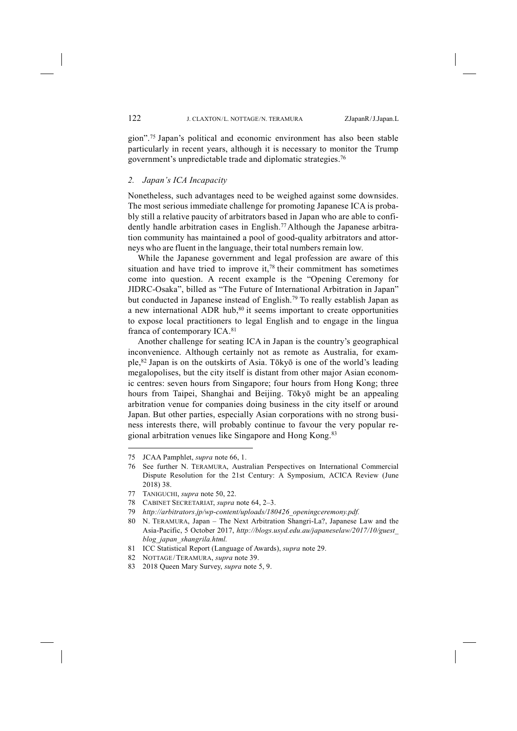gion".75 Japan's political and economic environment has also been stable particularly in recent years, although it is necessary to monitor the Trump government's unpredictable trade and diplomatic strategies.76

## *2. Japan's ICA Incapacity*

Nonetheless, such advantages need to be weighed against some downsides. The most serious immediate challenge for promoting Japanese ICA is probably still a relative paucity of arbitrators based in Japan who are able to confidently handle arbitration cases in English.<sup>77</sup> Although the Japanese arbitration community has maintained a pool of good-quality arbitrators and attorneys who are fluent in the language, their total numbers remain low.

While the Japanese government and legal profession are aware of this situation and have tried to improve it,78 their commitment has sometimes come into question. A recent example is the "Opening Ceremony for JIDRC-Osaka", billed as "The Future of International Arbitration in Japan" but conducted in Japanese instead of English.<sup>79</sup> To really establish Japan as a new international ADR hub,<sup>80</sup> it seems important to create opportunities to expose local practitioners to legal English and to engage in the lingua franca of contemporary ICA.81

Another challenge for seating ICA in Japan is the country's geographical inconvenience. Although certainly not as remote as Australia, for example,82 Japan is on the outskirts of Asia. Tōkyō is one of the world's leading megalopolises, but the city itself is distant from other major Asian economic centres: seven hours from Singapore; four hours from Hong Kong; three hours from Taipei, Shanghai and Beijing. Tōkyō might be an appealing arbitration venue for companies doing business in the city itself or around Japan. But other parties, especially Asian corporations with no strong business interests there, will probably continue to favour the very popular regional arbitration venues like Singapore and Hong Kong.83

<sup>75</sup> JCAA Pamphlet, *supra* note 66, 1.

<sup>76</sup> See further N. TERAMURA, Australian Perspectives on International Commercial Dispute Resolution for the 21st Century: A Symposium, ACICA Review (June 2018) 38.

<sup>77</sup> TANIGUCHI, *supra* note 50, 22.

<sup>78</sup> CABINET SECRETARIAT, *supra* note 64, 2–3.

<sup>79</sup> *http://arbitrators.jp/wp-content/uploads/180426\_openingceremony.pdf.*

<sup>80</sup> N. TERAMURA, Japan – The Next Arbitration Shangri-La?, Japanese Law and the Asia-Pacific, 5 October 2017, *http://blogs.usyd.edu.au/japaneselaw/2017/10/guest\_ blog\_japan\_shangrila.html.*

<sup>81</sup> ICC Statistical Report (Language of Awards), *supra* note 29.

<sup>82</sup> NOTTAGE/ TERAMURA, *supra* note 39.

<sup>83</sup> 2018 Queen Mary Survey, *supra* note 5, 9.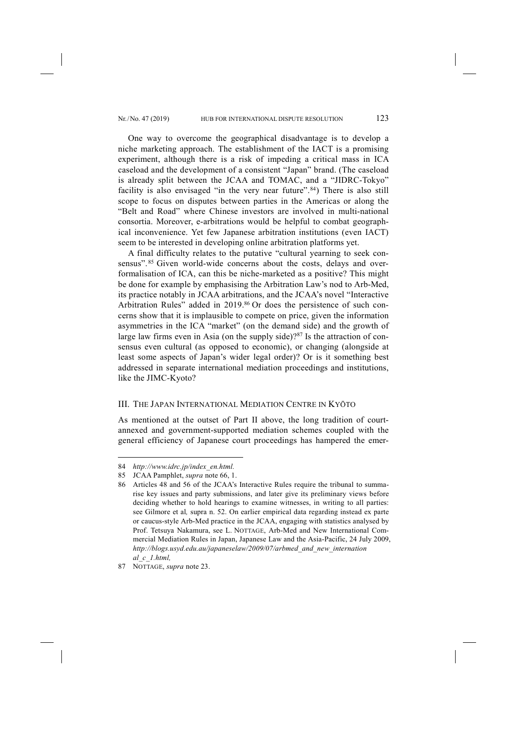One way to overcome the geographical disadvantage is to develop a niche marketing approach. The establishment of the IACT is a promising experiment, although there is a risk of impeding a critical mass in ICA caseload and the development of a consistent "Japan" brand. (The caseload is already split between the JCAA and TOMAC, and a "JIDRC-Tokyo" facility is also envisaged "in the very near future".<sup>84</sup>) There is also still scope to focus on disputes between parties in the Americas or along the "Belt and Road" where Chinese investors are involved in multi-national consortia. Moreover, e-arbitrations would be helpful to combat geographical inconvenience. Yet few Japanese arbitration institutions (even IACT) seem to be interested in developing online arbitration platforms yet.

A final difficulty relates to the putative "cultural yearning to seek consensus". <sup>85</sup> Given world-wide concerns about the costs, delays and overformalisation of ICA, can this be niche-marketed as a positive? This might be done for example by emphasising the Arbitration Law's nod to Arb-Med, its practice notably in JCAA arbitrations, and the JCAA's novel "Interactive Arbitration Rules" added in 2019. <sup>86</sup> Or does the persistence of such concerns show that it is implausible to compete on price, given the information asymmetries in the ICA "market" (on the demand side) and the growth of large law firms even in Asia (on the supply side)?<sup>87</sup> Is the attraction of consensus even cultural (as opposed to economic), or changing (alongside at least some aspects of Japan's wider legal order)? Or is it something best addressed in separate international mediation proceedings and institutions, like the JIMC-Kyoto?

#### III. THE JAPAN INTERNATIONAL MEDIATION CENTRE IN KYŌTO

As mentioned at the outset of Part II above, the long tradition of courtannexed and government-supported mediation schemes coupled with the general efficiency of Japanese court proceedings has hampered the emer-

<sup>84</sup> *http://www.idrc.jp/index\_en.html.*

<sup>85</sup> JCAA Pamphlet, *supra* note 66, 1.

<sup>86</sup> Articles 48 and 56 of the JCAA's Interactive Rules require the tribunal to summarise key issues and party submissions, and later give its preliminary views before deciding whether to hold hearings to examine witnesses, in writing to all parties: see Gilmore et al*,* supra n. 52. On earlier empirical data regarding instead ex parte or caucus-style Arb-Med practice in the JCAA, engaging with statistics analysed by Prof. Tetsuya Nakamura, see L. NOTTAGE, Arb-Med and New International Commercial Mediation Rules in Japan, Japanese Law and the Asia-Pacific, 24 July 2009, *http://blogs.usyd.edu.au/japaneselaw/2009/07/arbmed\_and\_new\_internation al\_c\_1.html,*

<sup>87</sup> NOTTAGE, *supra* note 23.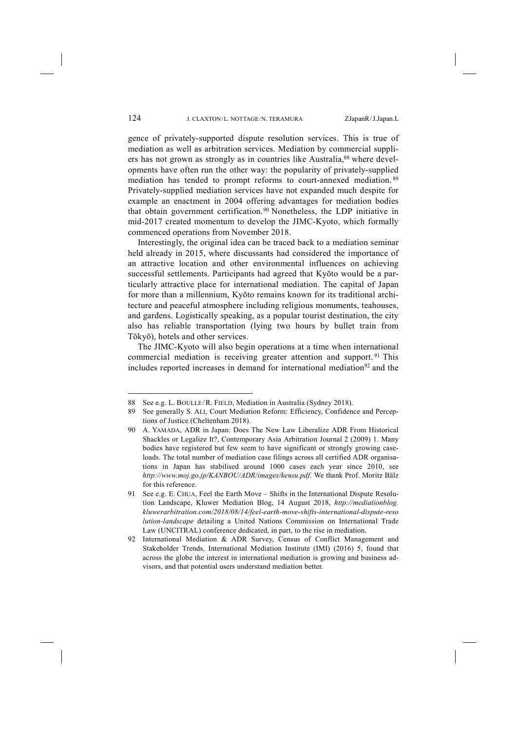gence of privately-supported dispute resolution services. This is true of mediation as well as arbitration services. Mediation by commercial suppliers has not grown as strongly as in countries like Australia,<sup>88</sup> where developments have often run the other way: the popularity of privately-supplied mediation has tended to prompt reforms to court-annexed mediation. <sup>89</sup> Privately-supplied mediation services have not expanded much despite for example an enactment in 2004 offering advantages for mediation bodies that obtain government certification.90 Nonetheless, the LDP initiative in mid-2017 created momentum to develop the JIMC-Kyoto, which formally commenced operations from November 2018.

Interestingly, the original idea can be traced back to a mediation seminar held already in 2015, where discussants had considered the importance of an attractive location and other environmental influences on achieving successful settlements. Participants had agreed that Kyōto would be a particularly attractive place for international mediation. The capital of Japan for more than a millennium, Kyōto remains known for its traditional architecture and peaceful atmosphere including religious monuments, teahouses, and gardens. Logistically speaking, as a popular tourist destination, the city also has reliable transportation (lying two hours by bullet train from Tōkyō), hotels and other services.

The JIMC-Kyoto will also begin operations at a time when international commercial mediation is receiving greater attention and support. <sup>91</sup> This includes reported increases in demand for international mediation<sup>92</sup> and the

<sup>88</sup> See e.g. L. BOULLE/ R. FIELD, Mediation in Australia (Sydney 2018).

<sup>89</sup> See generally S. ALI, Court Mediation Reform: Efficiency, Confidence and Perceptions of Justice (Cheltenham 2018).

<sup>90</sup> A. YAMADA, ADR in Japan: Does The New Law Liberalize ADR From Historical Shackles or Legalize It?, Contemporary Asia Arbitration Journal 2 (2009) 1. Many bodies have registered but few seem to have significant or strongly growing caseloads. The total number of mediation case filings across all certified ADR organisations in Japan has stabilised around 1000 cases each year since 2010, see *http://www.moj.go.jp/KANBOU/ADR/images/kensu.pdf.* We thank Prof. Moritz Bälz for this reference.

<sup>91</sup> See e.g. E. CHUA, Feel the Earth Move – Shifts in the International Dispute Resolution Landscape, Kluwer Mediation Blog, 14 August 2018, *http://mediationblog. kluwerarbitration.com/2018/08/14/feel-earth-move-shifts-international-dispute-reso lution-landscape* detailing a United Nations Commission on International Trade Law (UNCITRAL) conference dedicated, in part, to the rise in mediation.

<sup>92</sup> International Mediation & ADR Survey, Census of Conflict Management and Stakeholder Trends, International Mediation Institute (IMI) (2016) 5, found that across the globe the interest in international mediation is growing and business advisors, and that potential users understand mediation better.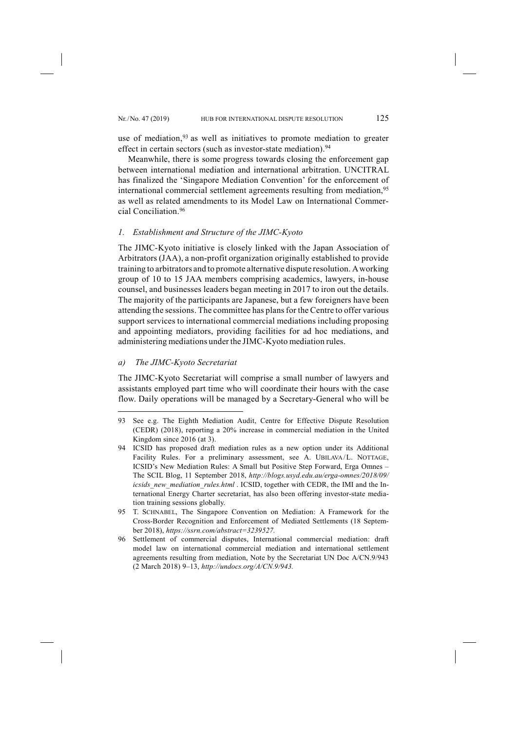use of mediation,  $93$  as well as initiatives to promote mediation to greater effect in certain sectors (such as investor-state mediation).<sup>94</sup>

Meanwhile, there is some progress towards closing the enforcement gap between international mediation and international arbitration. UNCITRAL has finalized the 'Singapore Mediation Convention' for the enforcement of international commercial settlement agreements resulting from mediation,<sup>95</sup> as well as related amendments to its Model Law on International Commercial Conciliation<sup>96</sup>

### *1. Establishment and Structure of the JIMC-Kyoto*

The JIMC-Kyoto initiative is closely linked with the Japan Association of Arbitrators (JAA), a non-profit organization originally established to provide training to arbitrators and to promote alternative dispute resolution. A working group of 10 to 15 JAA members comprising academics, lawyers, in-house counsel, and businesses leaders began meeting in 2017 to iron out the details. The majority of the participants are Japanese, but a few foreigners have been attending the sessions. The committee has plans for the Centre to offer various support services to international commercial mediations including proposing and appointing mediators, providing facilities for ad hoc mediations, and administering mediations under the JIMC-Kyoto mediation rules.

### *a) The JIMC-Kyoto Secretariat*

-

The JIMC-Kyoto Secretariat will comprise a small number of lawyers and assistants employed part time who will coordinate their hours with the case flow. Daily operations will be managed by a Secretary-General who will be

<sup>93</sup> See e.g. The Eighth Mediation Audit, Centre for Effective Dispute Resolution (CEDR) (2018), reporting a 20% increase in commercial mediation in the United Kingdom since 2016 (at 3).

<sup>94</sup> ICSID has proposed draft mediation rules as a new option under its Additional Facility Rules. For a preliminary assessment, see A. UBILAVA/L. NOTTAGE, ICSID's New Mediation Rules: A Small but Positive Step Forward, Erga Omnes – The SCIL Blog, 11 September 2018, *http://blogs.usyd.edu.au/erga-omnes/2018/09/ icsids\_new\_mediation\_rules.html* . ICSID, together with CEDR, the IMI and the International Energy Charter secretariat, has also been offering investor-state mediation training sessions globally.

<sup>95</sup> T. SCHNABEL, The Singapore Convention on Mediation: A Framework for the Cross-Border Recognition and Enforcement of Mediated Settlements (18 September 2018), *https://ssrn.com/abstract=3239527.*

<sup>96</sup> Settlement of commercial disputes, International commercial mediation: draft model law on international commercial mediation and international settlement agreements resulting from mediation, Note by the Secretariat UN Doc A/CN.9/943 (2 March 2018) 9–13, *http://undocs.org/A/CN.9/943.*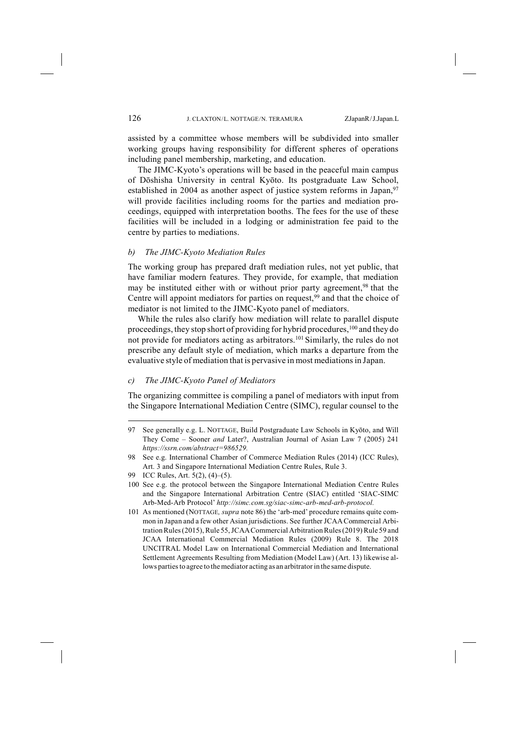assisted by a committee whose members will be subdivided into smaller working groups having responsibility for different spheres of operations including panel membership, marketing, and education.

The JIMC-Kyoto's operations will be based in the peaceful main campus of Dōshisha University in central Kyōto. Its postgraduate Law School, established in 2004 as another aspect of justice system reforms in Japan,<sup>97</sup> will provide facilities including rooms for the parties and mediation proceedings, equipped with interpretation booths. The fees for the use of these facilities will be included in a lodging or administration fee paid to the centre by parties to mediations.

#### *b) The JIMC-Kyoto Mediation Rules*

The working group has prepared draft mediation rules, not yet public, that have familiar modern features. They provide, for example, that mediation may be instituted either with or without prior party agreement,<sup>98</sup> that the Centre will appoint mediators for parties on request,<sup>99</sup> and that the choice of mediator is not limited to the JIMC-Kyoto panel of mediators.

While the rules also clarify how mediation will relate to parallel dispute proceedings, they stop short of providing for hybrid procedures,100 and they do not provide for mediators acting as arbitrators.101 Similarly, the rules do not prescribe any default style of mediation, which marks a departure from the evaluative style of mediation that is pervasive in most mediationsin Japan.

### *c) The JIMC-Kyoto Panel of Mediators*

The organizing committee is compiling a panel of mediators with input from the Singapore International Mediation Centre (SIMC), regular counsel to the

<sup>97</sup> See generally e.g. L. NOTTAGE, Build Postgraduate Law Schools in Kyōto, and Will They Come – Sooner *and* Later?, Australian Journal of Asian Law 7 (2005) 241 *https://ssrn.com/abstract=986529.*

<sup>98</sup> See e.g. International Chamber of Commerce Mediation Rules (2014) (ICC Rules), Art. 3 and Singapore International Mediation Centre Rules, Rule 3.

<sup>99</sup> ICC Rules, Art. 5(2), (4)–(5).

<sup>100</sup> See e.g. the protocol between the Singapore International Mediation Centre Rules and the Singapore International Arbitration Centre (SIAC) entitled 'SIAC-SIMC Arb-Med-Arb Protocol' *http://simc.com.sg/siac-simc-arb-med-arb-protocol.*

<sup>101</sup> As mentioned (NOTTAGE*, supra* note 86) the 'arb-med' procedure remains quite common in Japan and a few other Asian jurisdictions. See further JCAACommercial Arbitration Rules (2015), Rule 55, JCAA Commercial Arbitration Rules (2019) Rule 59 and JCAA International Commercial Mediation Rules (2009) Rule 8. The 2018 UNCITRAL Model Law on International Commercial Mediation and International Settlement Agreements Resulting from Mediation (Model Law) (Art. 13) likewise allows parties to agree to the mediator acting as an arbitrator in the same dispute.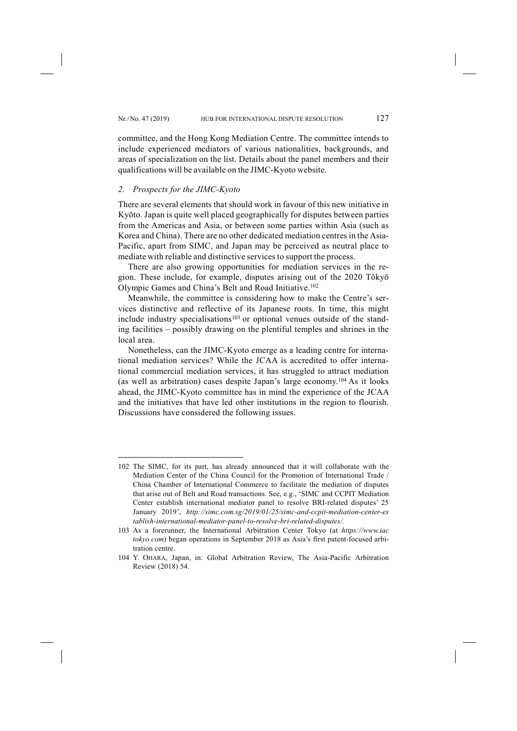committee, and the Hong Kong Mediation Centre. The committee intends to include experienced mediators of various nationalities, backgrounds, and areas of specialization on the list. Details about the panel members and their qualifications will be available on the JIMC-Kyoto website.

## *2. Prospects for the JIMC-Kyoto*

-

There are several elements that should work in favour of this new initiative in Kyōto. Japan is quite well placed geographically for disputes between parties from the Americas and Asia, or between some parties within Asia (such as Korea and China). There are no other dedicated mediation centres in the Asia-Pacific, apart from SIMC, and Japan may be perceived as neutral place to mediate with reliable and distinctive services to support the process.

There are also growing opportunities for mediation services in the region. These include, for example, disputes arising out of the 2020 Tōkyō Olympic Games and China's Belt and Road Initiative.102

Meanwhile, the committee is considering how to make the Centre's services distinctive and reflective of its Japanese roots. In time, this might include industry specialisations<sup>103</sup> or optional venues outside of the standing facilities – possibly drawing on the plentiful temples and shrines in the local area.

Nonetheless, can the JIMC-Kyoto emerge as a leading centre for international mediation services? While the JCAA is accredited to offer international commercial mediation services, it has struggled to attract mediation (as well as arbitration) cases despite Japan's large economy.104 As it looks ahead, the JIMC-Kyoto committee has in mind the experience of the JCAA and the initiatives that have led other institutions in the region to flourish. Discussions have considered the following issues.

<sup>102</sup> The SIMC, for its part, has already announced that it will collaborate with the Mediation Center of the China Council for the Promotion of International Trade / China Chamber of International Commerce to facilitate the mediation of disputes that arise out of Belt and Road transactions. See, e.g., 'SIMC and CCPIT Mediation Center establish international mediator panel to resolve BRI-related disputes' 25 January 2019', *http://simc.com.sg/2019/01/25/simc-and-ccpit-mediation-center-es tablish-international-mediator-panel-to-resolve-bri-related-disputes/.* 

<sup>103</sup> As a forerunner, the International Arbitration Center Tokyo (at *https://www.iac tokyo.com*) began operations in September 2018 as Asia's first patent-focused arbitration centre.

<sup>104</sup> Y. OHARA, Japan, in: Global Arbitration Review, The Asia-Pacific Arbitration Review (2018) 54.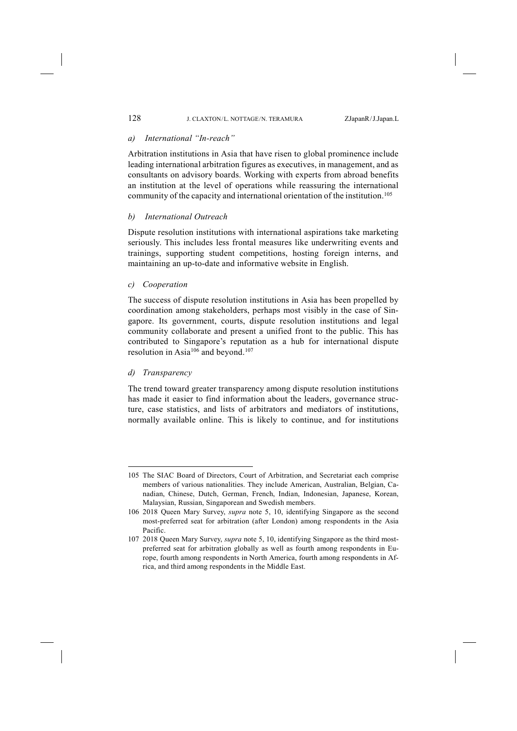## *a) International "In-reach"*

Arbitration institutions in Asia that have risen to global prominence include leading international arbitration figures as executives, in management, and as consultants on advisory boards. Working with experts from abroad benefits an institution at the level of operations while reassuring the international community of the capacity and international orientation of the institution.105

## *b) International Outreach*

Dispute resolution institutions with international aspirations take marketing seriously. This includes less frontal measures like underwriting events and trainings, supporting student competitions, hosting foreign interns, and maintaining an up-to-date and informative website in English.

## *c) Cooperation*

The success of dispute resolution institutions in Asia has been propelled by coordination among stakeholders, perhaps most visibly in the case of Singapore. Its government, courts, dispute resolution institutions and legal community collaborate and present a unified front to the public. This has contributed to Singapore's reputation as a hub for international dispute resolution in Asia106 and beyond.107

## *d) Transparency*

-

The trend toward greater transparency among dispute resolution institutions has made it easier to find information about the leaders, governance structure, case statistics, and lists of arbitrators and mediators of institutions, normally available online. This is likely to continue, and for institutions

<sup>105</sup> The SIAC Board of Directors, Court of Arbitration, and Secretariat each comprise members of various nationalities. They include American, Australian, Belgian, Canadian, Chinese, Dutch, German, French, Indian, Indonesian, Japanese, Korean, Malaysian, Russian, Singaporean and Swedish members.

<sup>106</sup> 2018 Queen Mary Survey, *supra* note 5, 10, identifying Singapore as the second most-preferred seat for arbitration (after London) among respondents in the Asia Pacific.

<sup>107</sup> 2018 Queen Mary Survey, *supra* note 5, 10, identifying Singapore as the third mostpreferred seat for arbitration globally as well as fourth among respondents in Europe, fourth among respondents in North America, fourth among respondents in Africa, and third among respondents in the Middle East.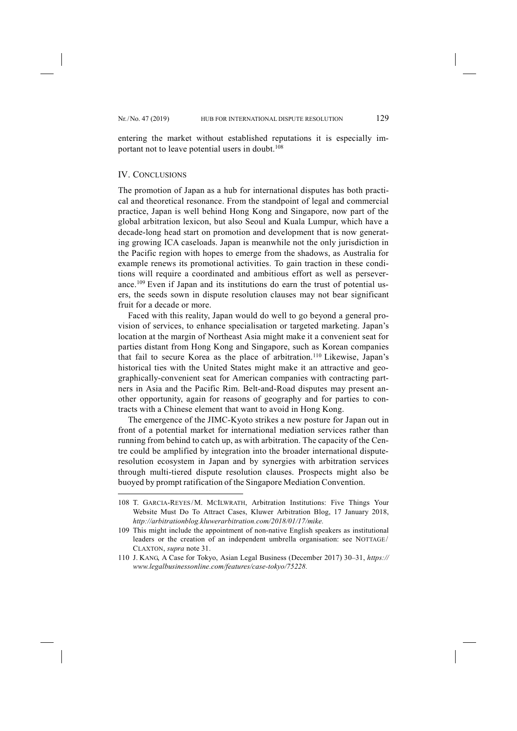entering the market without established reputations it is especially important not to leave potential users in doubt.<sup>108</sup>

#### IV. CONCLUSIONS

-

The promotion of Japan as a hub for international disputes has both practical and theoretical resonance. From the standpoint of legal and commercial practice, Japan is well behind Hong Kong and Singapore, now part of the global arbitration lexicon, but also Seoul and Kuala Lumpur, which have a decade-long head start on promotion and development that is now generating growing ICA caseloads. Japan is meanwhile not the only jurisdiction in the Pacific region with hopes to emerge from the shadows, as Australia for example renews its promotional activities. To gain traction in these conditions will require a coordinated and ambitious effort as well as perseverance.109 Even if Japan and its institutions do earn the trust of potential users, the seeds sown in dispute resolution clauses may not bear significant fruit for a decade or more.

Faced with this reality, Japan would do well to go beyond a general provision of services, to enhance specialisation or targeted marketing. Japan's location at the margin of Northeast Asia might make it a convenient seat for parties distant from Hong Kong and Singapore, such as Korean companies that fail to secure Korea as the place of arbitration.110 Likewise, Japan's historical ties with the United States might make it an attractive and geographically-convenient seat for American companies with contracting partners in Asia and the Pacific Rim. Belt-and-Road disputes may present another opportunity, again for reasons of geography and for parties to contracts with a Chinese element that want to avoid in Hong Kong.

The emergence of the JIMC-Kyoto strikes a new posture for Japan out in front of a potential market for international mediation services rather than running from behind to catch up, as with arbitration. The capacity of the Centre could be amplified by integration into the broader international disputeresolution ecosystem in Japan and by synergies with arbitration services through multi-tiered dispute resolution clauses. Prospects might also be buoyed by prompt ratification of the Singapore Mediation Convention.

<sup>108</sup> T. GARCIA-REYES/ M. MCILWRATH, Arbitration Institutions: Five Things Your Website Must Do To Attract Cases, Kluwer Arbitration Blog, 17 January 2018, *http://arbitrationblog.kluwerarbitration.com/2018/01/17/mike.* 

<sup>109</sup> This might include the appointment of non-native English speakers as institutional leaders or the creation of an independent umbrella organisation: see NOTTAGE/  CLAXTON, *supra* note 31.

<sup>110</sup> J. KANG, A Case for Tokyo, Asian Legal Business (December 2017) 30–31, *https:// www.legalbusinessonline.com/features/case-tokyo/75228.*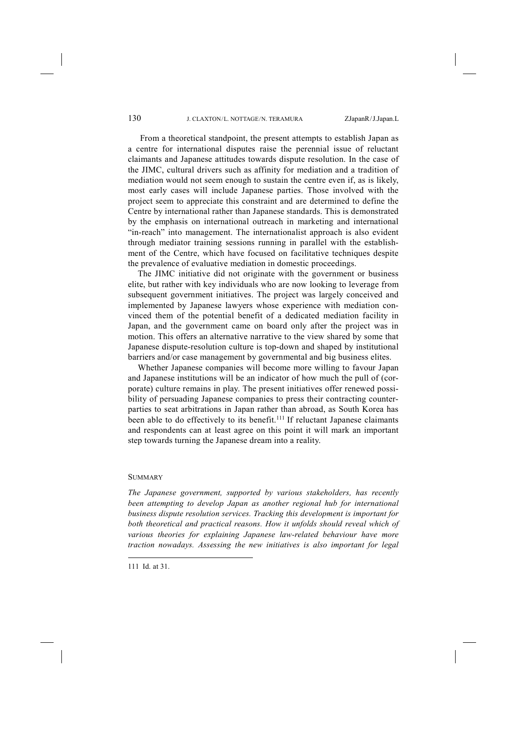From a theoretical standpoint, the present attempts to establish Japan as a centre for international disputes raise the perennial issue of reluctant claimants and Japanese attitudes towards dispute resolution. In the case of the JIMC, cultural drivers such as affinity for mediation and a tradition of mediation would not seem enough to sustain the centre even if, as is likely, most early cases will include Japanese parties. Those involved with the project seem to appreciate this constraint and are determined to define the Centre by international rather than Japanese standards. This is demonstrated by the emphasis on international outreach in marketing and international "in-reach" into management. The internationalist approach is also evident through mediator training sessions running in parallel with the establishment of the Centre, which have focused on facilitative techniques despite the prevalence of evaluative mediation in domestic proceedings.

The JIMC initiative did not originate with the government or business elite, but rather with key individuals who are now looking to leverage from subsequent government initiatives. The project was largely conceived and implemented by Japanese lawyers whose experience with mediation convinced them of the potential benefit of a dedicated mediation facility in Japan, and the government came on board only after the project was in motion. This offers an alternative narrative to the view shared by some that Japanese dispute-resolution culture is top-down and shaped by institutional barriers and/or case management by governmental and big business elites.

Whether Japanese companies will become more willing to favour Japan and Japanese institutions will be an indicator of how much the pull of (corporate) culture remains in play. The present initiatives offer renewed possibility of persuading Japanese companies to press their contracting counterparties to seat arbitrations in Japan rather than abroad, as South Korea has been able to do effectively to its benefit.<sup>111</sup> If reluctant Japanese claimants and respondents can at least agree on this point it will mark an important step towards turning the Japanese dream into a reality.

#### **SUMMARY**

*The Japanese government, supported by various stakeholders, has recently*  been attempting to develop Japan as another regional hub for international *business dispute resolution services. Tracking this development is important for both theoretical and practical reasons. How it unfolds should reveal which of various theories for explaining Japanese law-related behaviour have more traction nowadays. Assessing the new initiatives is also important for legal* 

<sup>111</sup> Id. at 31.